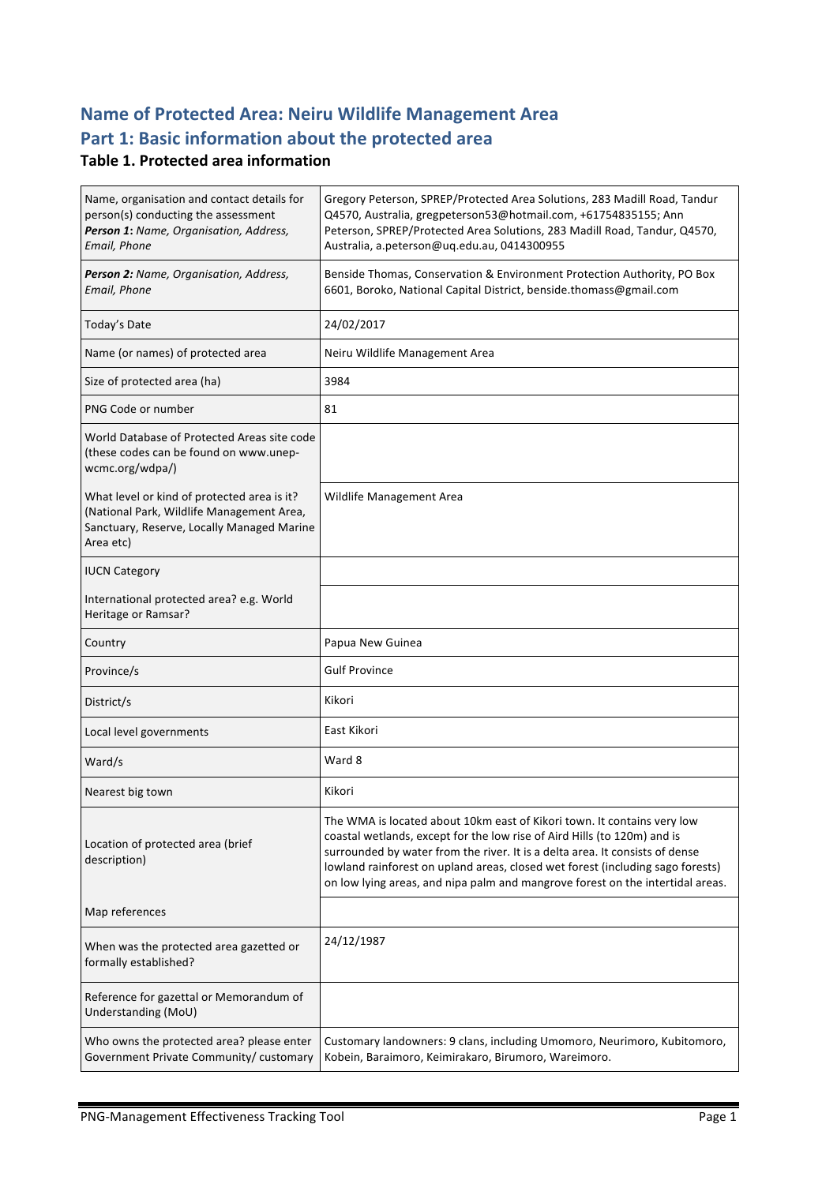# **Name of Protected Area: Neiru Wildlife Management Area** Part 1: Basic information about the protected area

#### **Table 1. Protected area information**

| Name, organisation and contact details for<br>person(s) conducting the assessment<br>Person 1: Name, Organisation, Address,<br>Email, Phone         | Gregory Peterson, SPREP/Protected Area Solutions, 283 Madill Road, Tandur<br>Q4570, Australia, gregpeterson53@hotmail.com, +61754835155; Ann<br>Peterson, SPREP/Protected Area Solutions, 283 Madill Road, Tandur, Q4570,<br>Australia, a.peterson@uq.edu.au, 0414300955                                                                                                                                |
|-----------------------------------------------------------------------------------------------------------------------------------------------------|---------------------------------------------------------------------------------------------------------------------------------------------------------------------------------------------------------------------------------------------------------------------------------------------------------------------------------------------------------------------------------------------------------|
| Person 2: Name, Organisation, Address,<br>Email, Phone                                                                                              | Benside Thomas, Conservation & Environment Protection Authority, PO Box<br>6601, Boroko, National Capital District, benside.thomass@gmail.com                                                                                                                                                                                                                                                           |
| Today's Date                                                                                                                                        | 24/02/2017                                                                                                                                                                                                                                                                                                                                                                                              |
| Name (or names) of protected area                                                                                                                   | Neiru Wildlife Management Area                                                                                                                                                                                                                                                                                                                                                                          |
| Size of protected area (ha)                                                                                                                         | 3984                                                                                                                                                                                                                                                                                                                                                                                                    |
| PNG Code or number                                                                                                                                  | 81                                                                                                                                                                                                                                                                                                                                                                                                      |
| World Database of Protected Areas site code<br>(these codes can be found on www.unep-<br>wcmc.org/wdpa/)                                            |                                                                                                                                                                                                                                                                                                                                                                                                         |
| What level or kind of protected area is it?<br>(National Park, Wildlife Management Area,<br>Sanctuary, Reserve, Locally Managed Marine<br>Area etc) | Wildlife Management Area                                                                                                                                                                                                                                                                                                                                                                                |
| <b>IUCN Category</b>                                                                                                                                |                                                                                                                                                                                                                                                                                                                                                                                                         |
| International protected area? e.g. World<br>Heritage or Ramsar?                                                                                     |                                                                                                                                                                                                                                                                                                                                                                                                         |
|                                                                                                                                                     |                                                                                                                                                                                                                                                                                                                                                                                                         |
| Country                                                                                                                                             | Papua New Guinea                                                                                                                                                                                                                                                                                                                                                                                        |
| Province/s                                                                                                                                          | <b>Gulf Province</b>                                                                                                                                                                                                                                                                                                                                                                                    |
| District/s                                                                                                                                          | Kikori                                                                                                                                                                                                                                                                                                                                                                                                  |
| Local level governments                                                                                                                             | East Kikori                                                                                                                                                                                                                                                                                                                                                                                             |
| Ward/s                                                                                                                                              | Ward 8                                                                                                                                                                                                                                                                                                                                                                                                  |
| Nearest big town                                                                                                                                    | Kikori                                                                                                                                                                                                                                                                                                                                                                                                  |
| Location of protected area (brief<br>description)                                                                                                   | The WMA is located about 10km east of Kikori town. It contains very low<br>coastal wetlands, except for the low rise of Aird Hills (to 120m) and is<br>surrounded by water from the river. It is a delta area. It consists of dense<br>lowland rainforest on upland areas, closed wet forest (including sago forests)<br>on low lying areas, and nipa palm and mangrove forest on the intertidal areas. |
| Map references                                                                                                                                      |                                                                                                                                                                                                                                                                                                                                                                                                         |
| When was the protected area gazetted or<br>formally established?                                                                                    | 24/12/1987                                                                                                                                                                                                                                                                                                                                                                                              |
| Reference for gazettal or Memorandum of<br>Understanding (MoU)                                                                                      |                                                                                                                                                                                                                                                                                                                                                                                                         |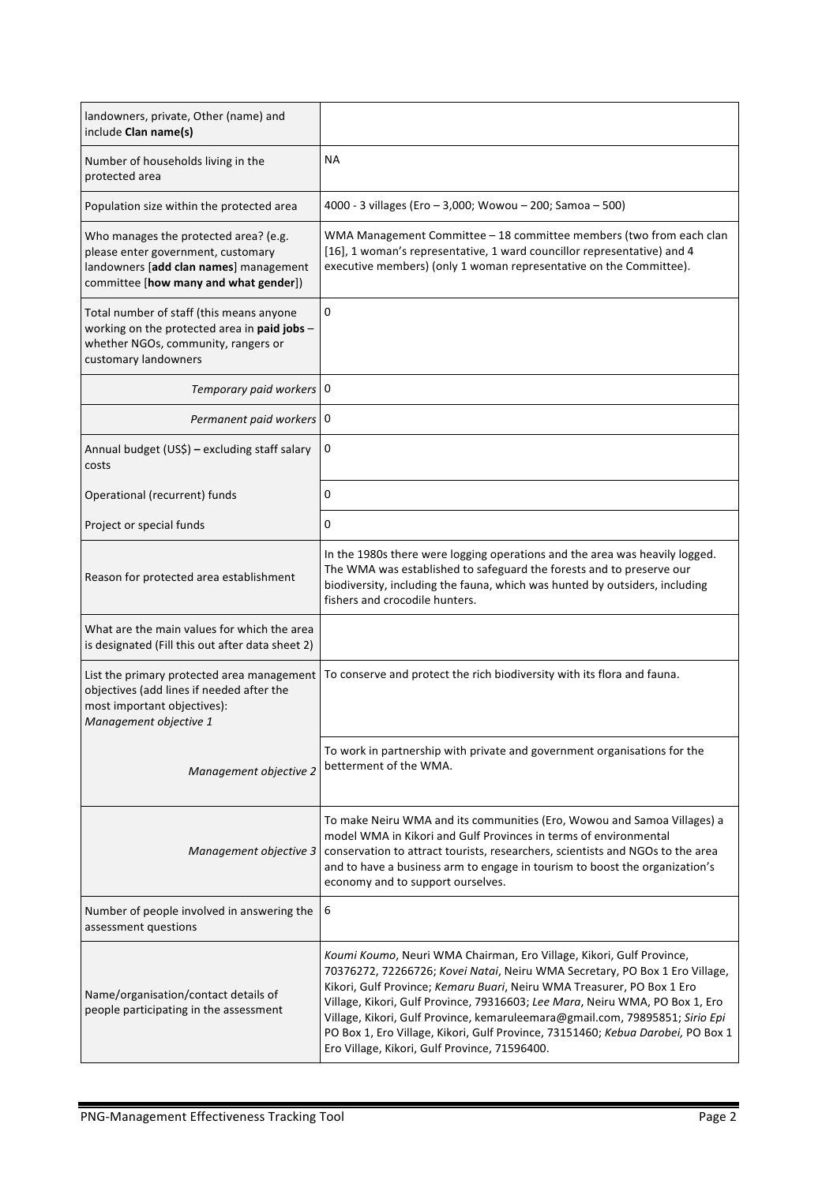| landowners, private, Other (name) and<br>include Clan name(s)                                                                                                  |                                                                                                                                                                                                                                                                                                                                                                                                                                                                                                                                   |
|----------------------------------------------------------------------------------------------------------------------------------------------------------------|-----------------------------------------------------------------------------------------------------------------------------------------------------------------------------------------------------------------------------------------------------------------------------------------------------------------------------------------------------------------------------------------------------------------------------------------------------------------------------------------------------------------------------------|
| Number of households living in the<br>protected area                                                                                                           | <b>NA</b>                                                                                                                                                                                                                                                                                                                                                                                                                                                                                                                         |
| Population size within the protected area                                                                                                                      | 4000 - 3 villages (Ero - 3,000; Wowou - 200; Samoa - 500)                                                                                                                                                                                                                                                                                                                                                                                                                                                                         |
| Who manages the protected area? (e.g.<br>please enter government, customary<br>landowners [add clan names] management<br>committee [how many and what gender]) | WMA Management Committee - 18 committee members (two from each clan<br>[16], 1 woman's representative, 1 ward councillor representative) and 4<br>executive members) (only 1 woman representative on the Committee).                                                                                                                                                                                                                                                                                                              |
| Total number of staff (this means anyone<br>working on the protected area in paid jobs -<br>whether NGOs, community, rangers or<br>customary landowners        | 0                                                                                                                                                                                                                                                                                                                                                                                                                                                                                                                                 |
| Temporary paid workers   0                                                                                                                                     |                                                                                                                                                                                                                                                                                                                                                                                                                                                                                                                                   |
| Permanent paid workers   0                                                                                                                                     |                                                                                                                                                                                                                                                                                                                                                                                                                                                                                                                                   |
| Annual budget (US\$) - excluding staff salary<br>costs                                                                                                         | 0                                                                                                                                                                                                                                                                                                                                                                                                                                                                                                                                 |
| Operational (recurrent) funds                                                                                                                                  | 0                                                                                                                                                                                                                                                                                                                                                                                                                                                                                                                                 |
| Project or special funds                                                                                                                                       | 0                                                                                                                                                                                                                                                                                                                                                                                                                                                                                                                                 |
| Reason for protected area establishment                                                                                                                        | In the 1980s there were logging operations and the area was heavily logged.<br>The WMA was established to safeguard the forests and to preserve our<br>biodiversity, including the fauna, which was hunted by outsiders, including<br>fishers and crocodile hunters.                                                                                                                                                                                                                                                              |
| What are the main values for which the area<br>is designated (Fill this out after data sheet 2)                                                                |                                                                                                                                                                                                                                                                                                                                                                                                                                                                                                                                   |
| List the primary protected area management<br>objectives (add lines if needed after the<br>most important objectives):<br>Management objective 1               | To conserve and protect the rich biodiversity with its flora and fauna.                                                                                                                                                                                                                                                                                                                                                                                                                                                           |
| Management objective 2                                                                                                                                         | To work in partnership with private and government organisations for the<br>betterment of the WMA.                                                                                                                                                                                                                                                                                                                                                                                                                                |
| Management objective 3                                                                                                                                         | To make Neiru WMA and its communities (Ero, Wowou and Samoa Villages) a<br>model WMA in Kikori and Gulf Provinces in terms of environmental<br>conservation to attract tourists, researchers, scientists and NGOs to the area<br>and to have a business arm to engage in tourism to boost the organization's<br>economy and to support ourselves.                                                                                                                                                                                 |
| Number of people involved in answering the<br>assessment questions                                                                                             | 6                                                                                                                                                                                                                                                                                                                                                                                                                                                                                                                                 |
| Name/organisation/contact details of<br>people participating in the assessment                                                                                 | Koumi Koumo, Neuri WMA Chairman, Ero Village, Kikori, Gulf Province,<br>70376272, 72266726; Kovei Natai, Neiru WMA Secretary, PO Box 1 Ero Village,<br>Kikori, Gulf Province; Kemaru Buari, Neiru WMA Treasurer, PO Box 1 Ero<br>Village, Kikori, Gulf Province, 79316603; Lee Mara, Neiru WMA, PO Box 1, Ero<br>Village, Kikori, Gulf Province, kemaruleemara@gmail.com, 79895851; Sirio Epi<br>PO Box 1, Ero Village, Kikori, Gulf Province, 73151460; Kebua Darobei, PO Box 1<br>Ero Village, Kikori, Gulf Province, 71596400. |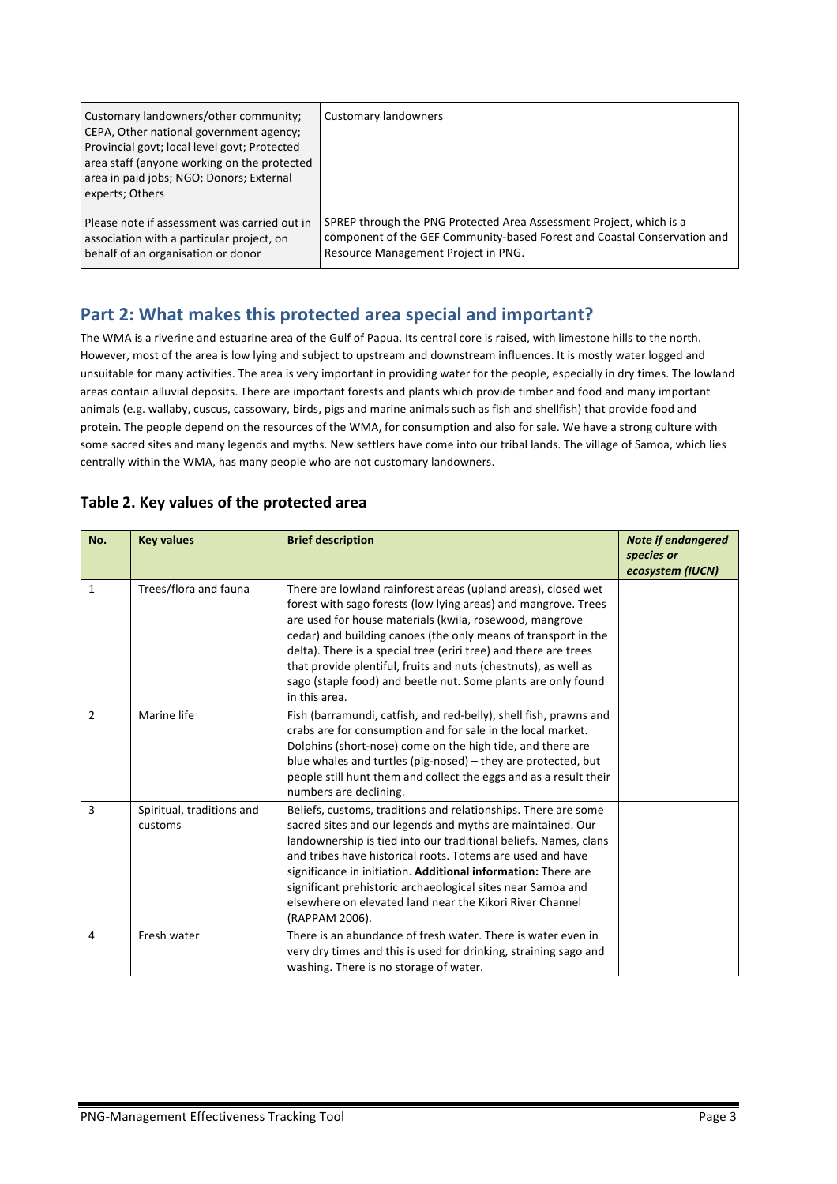| Customary landowners/other community;<br>CEPA, Other national government agency;<br>Provincial govt; local level govt; Protected<br>area staff (anyone working on the protected<br>area in paid jobs; NGO; Donors; External<br>experts; Others | <b>Customary landowners</b>                                              |
|------------------------------------------------------------------------------------------------------------------------------------------------------------------------------------------------------------------------------------------------|--------------------------------------------------------------------------|
| Please note if assessment was carried out in                                                                                                                                                                                                   | SPREP through the PNG Protected Area Assessment Project, which is a      |
| association with a particular project, on                                                                                                                                                                                                      | component of the GEF Community-based Forest and Coastal Conservation and |
| behalf of an organisation or donor                                                                                                                                                                                                             | Resource Management Project in PNG.                                      |

## Part 2: What makes this protected area special and important?

The WMA is a riverine and estuarine area of the Gulf of Papua. Its central core is raised, with limestone hills to the north. However, most of the area is low lying and subject to upstream and downstream influences. It is mostly water logged and unsuitable for many activities. The area is very important in providing water for the people, especially in dry times. The lowland areas contain alluvial deposits. There are important forests and plants which provide timber and food and many important animals (e.g. wallaby, cuscus, cassowary, birds, pigs and marine animals such as fish and shellfish) that provide food and protein. The people depend on the resources of the WMA, for consumption and also for sale. We have a strong culture with some sacred sites and many legends and myths. New settlers have come into our tribal lands. The village of Samoa, which lies centrally within the WMA, has many people who are not customary landowners.

| No.          | <b>Key values</b>                    | <b>Brief description</b>                                                                                                                                                                                                                                                                                                                                                                                                                                                              | <b>Note if endangered</b><br>species or<br>ecosystem (IUCN) |
|--------------|--------------------------------------|---------------------------------------------------------------------------------------------------------------------------------------------------------------------------------------------------------------------------------------------------------------------------------------------------------------------------------------------------------------------------------------------------------------------------------------------------------------------------------------|-------------------------------------------------------------|
| $\mathbf{1}$ | Trees/flora and fauna                | There are lowland rainforest areas (upland areas), closed wet<br>forest with sago forests (low lying areas) and mangrove. Trees<br>are used for house materials (kwila, rosewood, mangrove<br>cedar) and building canoes (the only means of transport in the<br>delta). There is a special tree (eriri tree) and there are trees<br>that provide plentiful, fruits and nuts (chestnuts), as well as<br>sago (staple food) and beetle nut. Some plants are only found<br>in this area. |                                                             |
| 2            | Marine life                          | Fish (barramundi, catfish, and red-belly), shell fish, prawns and<br>crabs are for consumption and for sale in the local market.<br>Dolphins (short-nose) come on the high tide, and there are<br>blue whales and turtles (pig-nosed) $-$ they are protected, but<br>people still hunt them and collect the eggs and as a result their<br>numbers are declining.                                                                                                                      |                                                             |
| 3            | Spiritual, traditions and<br>customs | Beliefs, customs, traditions and relationships. There are some<br>sacred sites and our legends and myths are maintained. Our<br>landownership is tied into our traditional beliefs. Names, clans<br>and tribes have historical roots. Totems are used and have<br>significance in initiation. Additional information: There are<br>significant prehistoric archaeological sites near Samoa and<br>elsewhere on elevated land near the Kikori River Channel<br>(RAPPAM 2006).          |                                                             |
| 4            | Fresh water                          | There is an abundance of fresh water. There is water even in<br>very dry times and this is used for drinking, straining sago and<br>washing. There is no storage of water.                                                                                                                                                                                                                                                                                                            |                                                             |

#### Table 2. Key values of the protected area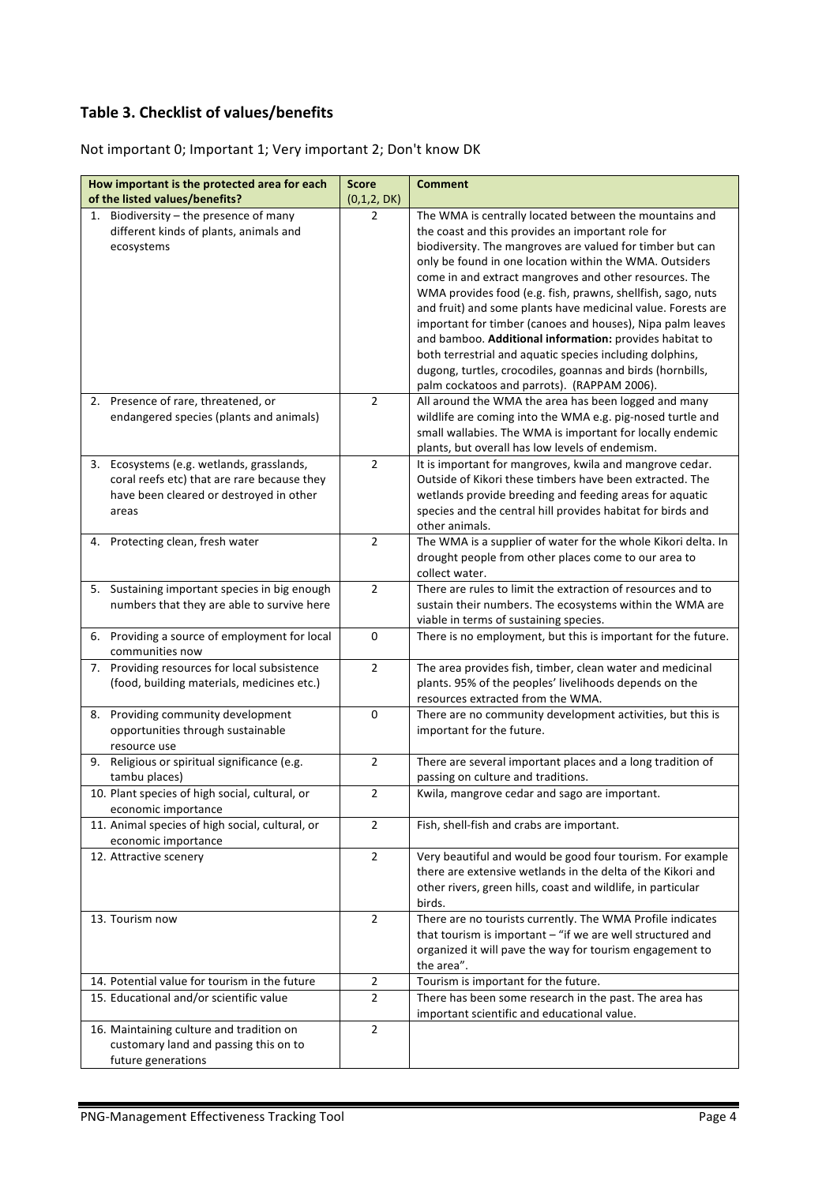## **Table 3. Checklist of values/benefits**

Not important 0; Important 1; Very important 2; Don't know DK

| How important is the protected area for each<br>of the listed values/benefits?              | <b>Score</b><br>(0,1,2, DK) | <b>Comment</b>                                                         |
|---------------------------------------------------------------------------------------------|-----------------------------|------------------------------------------------------------------------|
| 1. Biodiversity - the presence of many                                                      | $\overline{2}$              | The WMA is centrally located between the mountains and                 |
| different kinds of plants, animals and                                                      |                             | the coast and this provides an important role for                      |
| ecosystems                                                                                  |                             | biodiversity. The mangroves are valued for timber but can              |
|                                                                                             |                             | only be found in one location within the WMA. Outsiders                |
|                                                                                             |                             | come in and extract mangroves and other resources. The                 |
|                                                                                             |                             | WMA provides food (e.g. fish, prawns, shellfish, sago, nuts            |
|                                                                                             |                             | and fruit) and some plants have medicinal value. Forests are           |
|                                                                                             |                             | important for timber (canoes and houses), Nipa palm leaves             |
|                                                                                             |                             | and bamboo. Additional information: provides habitat to                |
|                                                                                             |                             | both terrestrial and aquatic species including dolphins,               |
|                                                                                             |                             | dugong, turtles, crocodiles, goannas and birds (hornbills,             |
|                                                                                             |                             | palm cockatoos and parrots). (RAPPAM 2006).                            |
| 2. Presence of rare, threatened, or                                                         | $\overline{2}$              | All around the WMA the area has been logged and many                   |
| endangered species (plants and animals)                                                     |                             | wildlife are coming into the WMA e.g. pig-nosed turtle and             |
|                                                                                             |                             | small wallabies. The WMA is important for locally endemic              |
|                                                                                             |                             | plants, but overall has low levels of endemism.                        |
| Ecosystems (e.g. wetlands, grasslands,<br>3.                                                | $\overline{2}$              | It is important for mangroves, kwila and mangrove cedar.               |
| coral reefs etc) that are rare because they                                                 |                             | Outside of Kikori these timbers have been extracted. The               |
| have been cleared or destroyed in other                                                     |                             | wetlands provide breeding and feeding areas for aquatic                |
| areas                                                                                       |                             | species and the central hill provides habitat for birds and            |
|                                                                                             |                             | other animals.                                                         |
| Protecting clean, fresh water<br>4.                                                         | $\overline{2}$              | The WMA is a supplier of water for the whole Kikori delta. In          |
|                                                                                             |                             | drought people from other places come to our area to<br>collect water. |
|                                                                                             | $\overline{2}$              | There are rules to limit the extraction of resources and to            |
| 5. Sustaining important species in big enough<br>numbers that they are able to survive here |                             | sustain their numbers. The ecosystems within the WMA are               |
|                                                                                             |                             | viable in terms of sustaining species.                                 |
| 6. Providing a source of employment for local                                               | 0                           | There is no employment, but this is important for the future.          |
| communities now                                                                             |                             |                                                                        |
| Providing resources for local subsistence<br>7.                                             | $\overline{2}$              | The area provides fish, timber, clean water and medicinal              |
| (food, building materials, medicines etc.)                                                  |                             | plants. 95% of the peoples' livelihoods depends on the                 |
|                                                                                             |                             | resources extracted from the WMA.                                      |
| 8. Providing community development                                                          | $\pmb{0}$                   | There are no community development activities, but this is             |
| opportunities through sustainable                                                           |                             | important for the future.                                              |
| resource use                                                                                |                             |                                                                        |
| 9. Religious or spiritual significance (e.g.                                                | $\overline{2}$              | There are several important places and a long tradition of             |
| tambu places)                                                                               |                             | passing on culture and traditions.                                     |
| 10. Plant species of high social, cultural, or                                              | $\mathbf 2$                 | Kwila, mangrove cedar and sago are important.                          |
| economic importance                                                                         |                             |                                                                        |
| 11. Animal species of high social, cultural, or                                             | $\overline{2}$              | Fish, shell-fish and crabs are important.                              |
| economic importance                                                                         |                             |                                                                        |
| 12. Attractive scenery                                                                      | $\overline{2}$              | Very beautiful and would be good four tourism. For example             |
|                                                                                             |                             | there are extensive wetlands in the delta of the Kikori and            |
|                                                                                             |                             | other rivers, green hills, coast and wildlife, in particular           |
|                                                                                             |                             | birds.                                                                 |
| 13. Tourism now                                                                             | $\overline{2}$              | There are no tourists currently. The WMA Profile indicates             |
|                                                                                             |                             | that tourism is important $-$ "if we are well structured and           |
|                                                                                             |                             | organized it will pave the way for tourism engagement to               |
|                                                                                             |                             | the area".                                                             |
| 14. Potential value for tourism in the future                                               | $\overline{2}$              | Tourism is important for the future.                                   |
| 15. Educational and/or scientific value                                                     | $\overline{2}$              | There has been some research in the past. The area has                 |
|                                                                                             |                             | important scientific and educational value.                            |
| 16. Maintaining culture and tradition on                                                    | $\overline{2}$              |                                                                        |
| customary land and passing this on to                                                       |                             |                                                                        |
| future generations                                                                          |                             |                                                                        |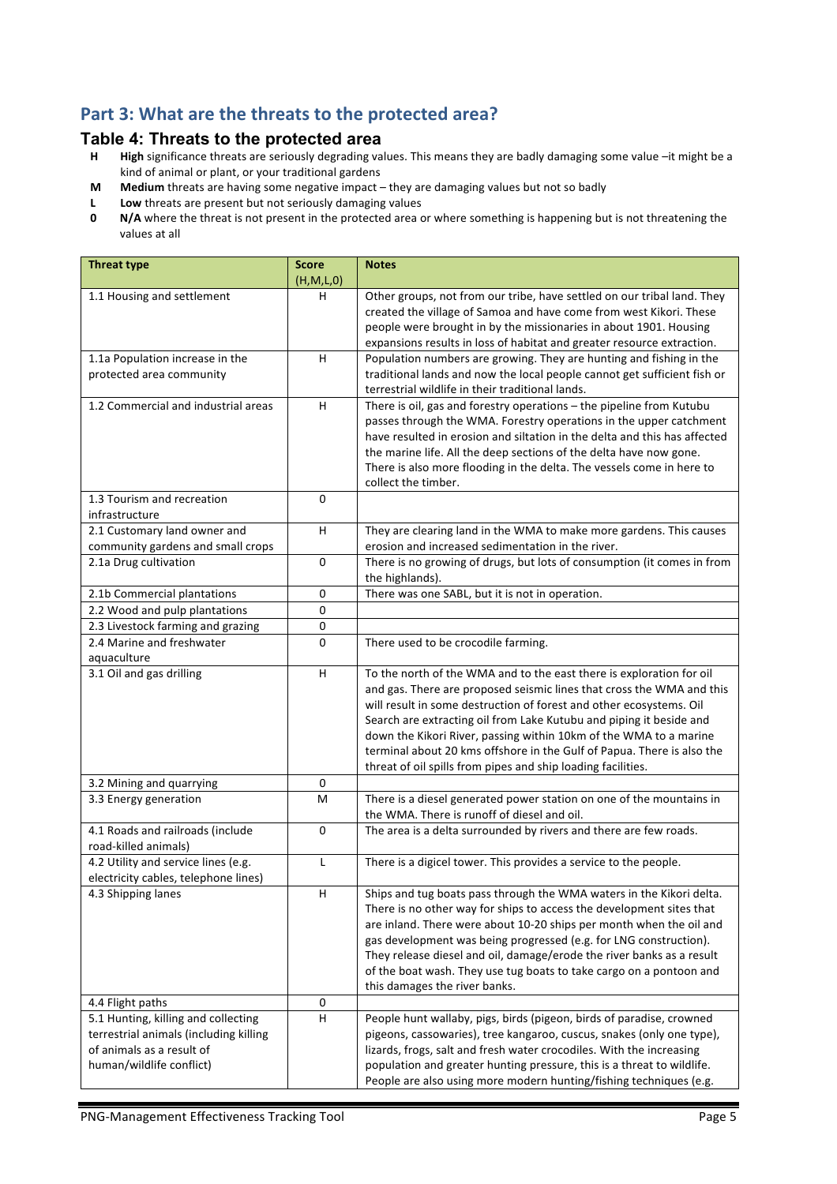## Part 3: What are the threats to the protected area?

# **Table 4: Threats to the protected area**<br>**H** High significance threats are seriously degrading va

- High significance threats are seriously degrading values. This means they are badly damaging some value -it might be a kind of animal or plant, or your traditional gardens
- **M** Medium threats are having some negative impact they are damaging values but not so badly
- **L** Low threats are present but not seriously damaging values<br>**0** N/A where the threat is not present in the protected area of
- **N/A** where the threat is not present in the protected area or where something is happening but is not threatening the values at all

| <b>Threat type</b>                                                                                                                     | <b>Score</b><br>(H, M, L, 0) | <b>Notes</b>                                                                                                                                                                                                                                                                                                                                                                                                                                                                                               |
|----------------------------------------------------------------------------------------------------------------------------------------|------------------------------|------------------------------------------------------------------------------------------------------------------------------------------------------------------------------------------------------------------------------------------------------------------------------------------------------------------------------------------------------------------------------------------------------------------------------------------------------------------------------------------------------------|
| 1.1 Housing and settlement                                                                                                             | н                            | Other groups, not from our tribe, have settled on our tribal land. They<br>created the village of Samoa and have come from west Kikori. These<br>people were brought in by the missionaries in about 1901. Housing<br>expansions results in loss of habitat and greater resource extraction.                                                                                                                                                                                                               |
| 1.1a Population increase in the                                                                                                        | H                            | Population numbers are growing. They are hunting and fishing in the                                                                                                                                                                                                                                                                                                                                                                                                                                        |
| protected area community                                                                                                               |                              | traditional lands and now the local people cannot get sufficient fish or<br>terrestrial wildlife in their traditional lands.                                                                                                                                                                                                                                                                                                                                                                               |
| 1.2 Commercial and industrial areas                                                                                                    | H                            | There is oil, gas and forestry operations - the pipeline from Kutubu<br>passes through the WMA. Forestry operations in the upper catchment<br>have resulted in erosion and siltation in the delta and this has affected<br>the marine life. All the deep sections of the delta have now gone.<br>There is also more flooding in the delta. The vessels come in here to<br>collect the timber.                                                                                                              |
| 1.3 Tourism and recreation<br>infrastructure                                                                                           | 0                            |                                                                                                                                                                                                                                                                                                                                                                                                                                                                                                            |
| 2.1 Customary land owner and                                                                                                           | H                            | They are clearing land in the WMA to make more gardens. This causes                                                                                                                                                                                                                                                                                                                                                                                                                                        |
| community gardens and small crops                                                                                                      |                              | erosion and increased sedimentation in the river.                                                                                                                                                                                                                                                                                                                                                                                                                                                          |
| 2.1a Drug cultivation                                                                                                                  | $\mathbf 0$                  | There is no growing of drugs, but lots of consumption (it comes in from<br>the highlands).                                                                                                                                                                                                                                                                                                                                                                                                                 |
| 2.1b Commercial plantations                                                                                                            | 0                            | There was one SABL, but it is not in operation.                                                                                                                                                                                                                                                                                                                                                                                                                                                            |
| 2.2 Wood and pulp plantations                                                                                                          | 0                            |                                                                                                                                                                                                                                                                                                                                                                                                                                                                                                            |
| 2.3 Livestock farming and grazing                                                                                                      | 0                            |                                                                                                                                                                                                                                                                                                                                                                                                                                                                                                            |
| 2.4 Marine and freshwater<br>aquaculture                                                                                               | $\mathbf 0$                  | There used to be crocodile farming.                                                                                                                                                                                                                                                                                                                                                                                                                                                                        |
| 3.1 Oil and gas drilling                                                                                                               | H                            | To the north of the WMA and to the east there is exploration for oil<br>and gas. There are proposed seismic lines that cross the WMA and this<br>will result in some destruction of forest and other ecosystems. Oil<br>Search are extracting oil from Lake Kutubu and piping it beside and<br>down the Kikori River, passing within 10km of the WMA to a marine<br>terminal about 20 kms offshore in the Gulf of Papua. There is also the<br>threat of oil spills from pipes and ship loading facilities. |
| 3.2 Mining and quarrying                                                                                                               | $\pmb{0}$                    |                                                                                                                                                                                                                                                                                                                                                                                                                                                                                                            |
| 3.3 Energy generation                                                                                                                  | M                            | There is a diesel generated power station on one of the mountains in<br>the WMA. There is runoff of diesel and oil.                                                                                                                                                                                                                                                                                                                                                                                        |
| 4.1 Roads and railroads (include<br>road-killed animals)                                                                               | 0                            | The area is a delta surrounded by rivers and there are few roads.                                                                                                                                                                                                                                                                                                                                                                                                                                          |
| 4.2 Utility and service lines (e.g.<br>electricity cables, telephone lines)                                                            | L                            | There is a digicel tower. This provides a service to the people.                                                                                                                                                                                                                                                                                                                                                                                                                                           |
| 4.3 Shipping lanes                                                                                                                     | H,                           | Ships and tug boats pass through the WMA waters in the Kikori delta.<br>There is no other way for ships to access the development sites that<br>are inland. There were about 10-20 ships per month when the oil and<br>gas development was being progressed (e.g. for LNG construction).<br>They release diesel and oil, damage/erode the river banks as a result<br>of the boat wash. They use tug boats to take cargo on a pontoon and<br>this damages the river banks.                                  |
| 4.4 Flight paths                                                                                                                       | 0                            |                                                                                                                                                                                                                                                                                                                                                                                                                                                                                                            |
| 5.1 Hunting, killing and collecting<br>terrestrial animals (including killing<br>of animals as a result of<br>human/wildlife conflict) | H                            | People hunt wallaby, pigs, birds (pigeon, birds of paradise, crowned<br>pigeons, cassowaries), tree kangaroo, cuscus, snakes (only one type),<br>lizards, frogs, salt and fresh water crocodiles. With the increasing<br>population and greater hunting pressure, this is a threat to wildlife.<br>People are also using more modern hunting/fishing techniques (e.g.                                                                                                                                      |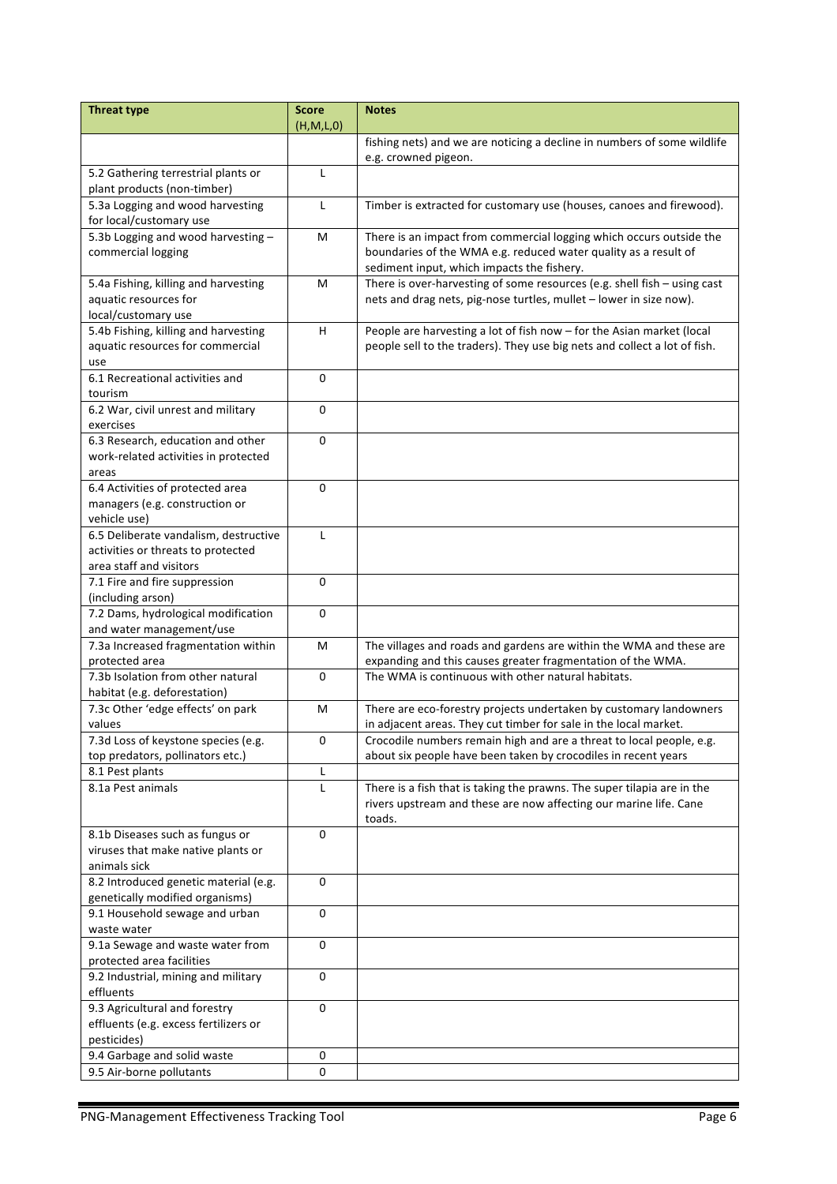| <b>Threat type</b>                         | <b>Score</b>      | <b>Notes</b>                                                                                    |
|--------------------------------------------|-------------------|-------------------------------------------------------------------------------------------------|
|                                            | (H,M,L,0)         |                                                                                                 |
|                                            |                   | fishing nets) and we are noticing a decline in numbers of some wildlife<br>e.g. crowned pigeon. |
| 5.2 Gathering terrestrial plants or        | L                 |                                                                                                 |
| plant products (non-timber)                |                   |                                                                                                 |
| 5.3a Logging and wood harvesting           | L                 | Timber is extracted for customary use (houses, canoes and firewood).                            |
| for local/customary use                    |                   |                                                                                                 |
| 5.3b Logging and wood harvesting -         | M                 | There is an impact from commercial logging which occurs outside the                             |
| commercial logging                         |                   | boundaries of the WMA e.g. reduced water quality as a result of                                 |
|                                            |                   | sediment input, which impacts the fishery.                                                      |
| 5.4a Fishing, killing and harvesting       | м                 | There is over-harvesting of some resources (e.g. shell fish - using cast                        |
| aquatic resources for                      |                   | nets and drag nets, pig-nose turtles, mullet - lower in size now).                              |
| local/customary use                        |                   |                                                                                                 |
| 5.4b Fishing, killing and harvesting       | н                 | People are harvesting a lot of fish now - for the Asian market (local                           |
| aquatic resources for commercial           |                   | people sell to the traders). They use big nets and collect a lot of fish.                       |
| use                                        |                   |                                                                                                 |
| 6.1 Recreational activities and            | 0                 |                                                                                                 |
| tourism                                    |                   |                                                                                                 |
| 6.2 War, civil unrest and military         | 0                 |                                                                                                 |
| exercises                                  |                   |                                                                                                 |
| 6.3 Research, education and other          | 0                 |                                                                                                 |
| work-related activities in protected       |                   |                                                                                                 |
| areas<br>6.4 Activities of protected area  | $\Omega$          |                                                                                                 |
| managers (e.g. construction or             |                   |                                                                                                 |
| vehicle use)                               |                   |                                                                                                 |
| 6.5 Deliberate vandalism, destructive      | L                 |                                                                                                 |
| activities or threats to protected         |                   |                                                                                                 |
| area staff and visitors                    |                   |                                                                                                 |
| 7.1 Fire and fire suppression              | 0                 |                                                                                                 |
| (including arson)                          |                   |                                                                                                 |
| 7.2 Dams, hydrological modification        | 0                 |                                                                                                 |
| and water management/use                   |                   |                                                                                                 |
| 7.3a Increased fragmentation within        | M                 | The villages and roads and gardens are within the WMA and these are                             |
| protected area                             |                   | expanding and this causes greater fragmentation of the WMA.                                     |
| 7.3b Isolation from other natural          | 0                 | The WMA is continuous with other natural habitats.                                              |
| habitat (e.g. deforestation)               |                   |                                                                                                 |
| 7.3c Other 'edge effects' on park          | M                 | There are eco-forestry projects undertaken by customary landowners                              |
| values                                     |                   | in adjacent areas. They cut timber for sale in the local market.                                |
| 7.3d Loss of keystone species (e.g.        | 0                 | Crocodile numbers remain high and are a threat to local people, e.g.                            |
| top predators, pollinators etc.)           |                   | about six people have been taken by crocodiles in recent years                                  |
| 8.1 Pest plants<br>8.1a Pest animals       | L<br>$\mathsf{L}$ | There is a fish that is taking the prawns. The super tilapia are in the                         |
|                                            |                   | rivers upstream and these are now affecting our marine life. Cane                               |
|                                            |                   | toads.                                                                                          |
| 8.1b Diseases such as fungus or            | 0                 |                                                                                                 |
| viruses that make native plants or         |                   |                                                                                                 |
| animals sick                               |                   |                                                                                                 |
| 8.2 Introduced genetic material (e.g.      | 0                 |                                                                                                 |
| genetically modified organisms)            |                   |                                                                                                 |
| 9.1 Household sewage and urban             | 0                 |                                                                                                 |
| waste water                                |                   |                                                                                                 |
| 9.1a Sewage and waste water from           | 0                 |                                                                                                 |
| protected area facilities                  |                   |                                                                                                 |
| 9.2 Industrial, mining and military        | 0                 |                                                                                                 |
| effluents                                  |                   |                                                                                                 |
| 9.3 Agricultural and forestry              | 0                 |                                                                                                 |
| effluents (e.g. excess fertilizers or      |                   |                                                                                                 |
| pesticides)<br>9.4 Garbage and solid waste | 0                 |                                                                                                 |
| 9.5 Air-borne pollutants                   | 0                 |                                                                                                 |
|                                            |                   |                                                                                                 |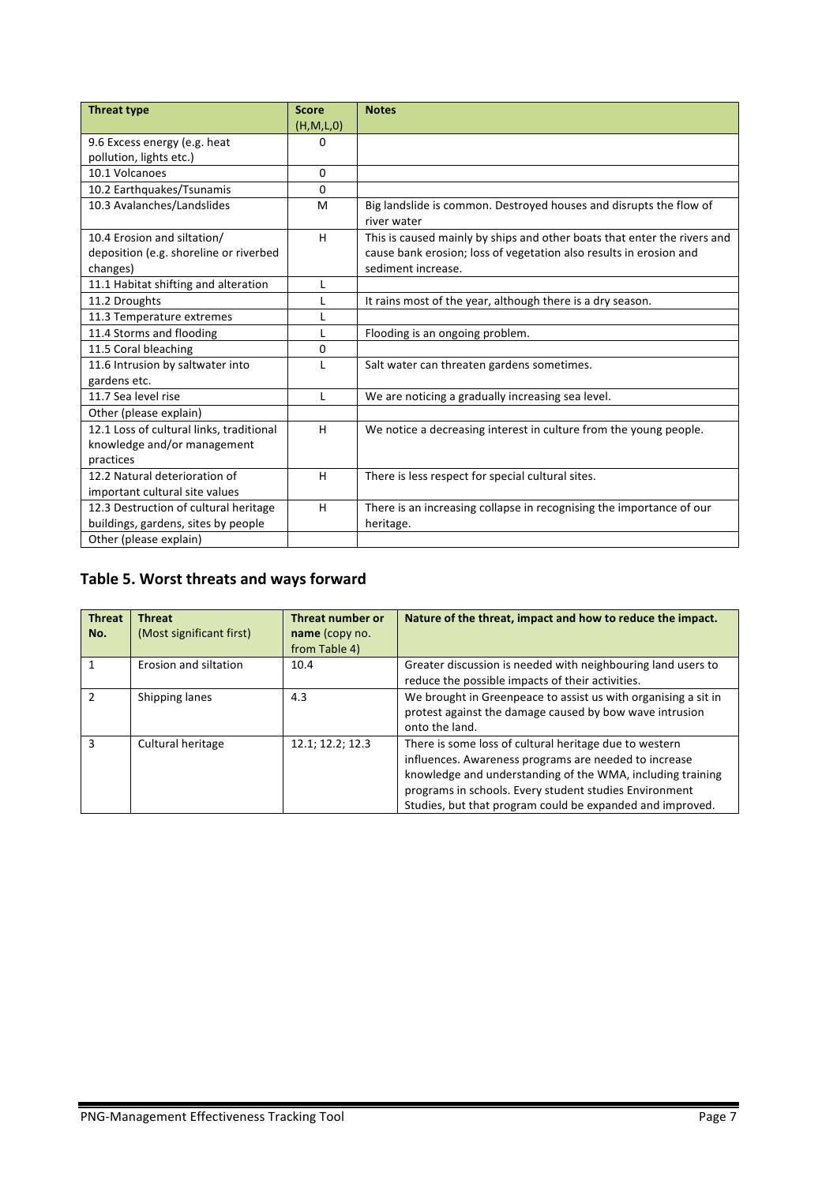| <b>Threat type</b>                       | <b>Score</b> | <b>Notes</b>                                                             |
|------------------------------------------|--------------|--------------------------------------------------------------------------|
|                                          | (H, M, L, 0) |                                                                          |
| 9.6 Excess energy (e.g. heat             | 0            |                                                                          |
| pollution, lights etc.)                  |              |                                                                          |
| 10.1 Volcanoes                           | 0            |                                                                          |
| 10.2 Earthquakes/Tsunamis                | 0            |                                                                          |
| 10.3 Avalanches/Landslides               | M            | Big landslide is common. Destroyed houses and disrupts the flow of       |
|                                          |              | river water                                                              |
| 10.4 Erosion and siltation/              | H            | This is caused mainly by ships and other boats that enter the rivers and |
| deposition (e.g. shoreline or riverbed   |              | cause bank erosion; loss of vegetation also results in erosion and       |
| changes)                                 |              | sediment increase.                                                       |
| 11.1 Habitat shifting and alteration     | L            |                                                                          |
| 11.2 Droughts                            |              | It rains most of the year, although there is a dry season.               |
| 11.3 Temperature extremes                | L            |                                                                          |
| 11.4 Storms and flooding                 |              | Flooding is an ongoing problem.                                          |
| 11.5 Coral bleaching                     | 0            |                                                                          |
| 11.6 Intrusion by saltwater into         | L            | Salt water can threaten gardens sometimes.                               |
| gardens etc.                             |              |                                                                          |
| 11.7 Sea level rise                      | L            | We are noticing a gradually increasing sea level.                        |
| Other (please explain)                   |              |                                                                          |
| 12.1 Loss of cultural links, traditional | H            | We notice a decreasing interest in culture from the young people.        |
| knowledge and/or management              |              |                                                                          |
| practices                                |              |                                                                          |
| 12.2 Natural deterioration of            | H            | There is less respect for special cultural sites.                        |
| important cultural site values           |              |                                                                          |
| 12.3 Destruction of cultural heritage    | H            | There is an increasing collapse in recognising the importance of our     |
| buildings, gardens, sites by people      |              | heritage.                                                                |
| Other (please explain)                   |              |                                                                          |

## Table 5. Worst threats and ways forward

| <b>Threat</b><br>No. | <b>Threat</b><br>(Most significant first) | Threat number or<br>name (copy no.<br>from Table 4) | Nature of the threat, impact and how to reduce the impact.                                                                                                                                                                                                                                           |
|----------------------|-------------------------------------------|-----------------------------------------------------|------------------------------------------------------------------------------------------------------------------------------------------------------------------------------------------------------------------------------------------------------------------------------------------------------|
|                      | Erosion and siltation                     | 10.4                                                | Greater discussion is needed with neighbouring land users to<br>reduce the possible impacts of their activities.                                                                                                                                                                                     |
| $\mathcal{P}$        | Shipping lanes                            | 4.3                                                 | We brought in Greenpeace to assist us with organising a sit in<br>protest against the damage caused by bow wave intrusion<br>onto the land.                                                                                                                                                          |
| з                    | Cultural heritage                         | 12.1; 12.2; 12.3                                    | There is some loss of cultural heritage due to western<br>influences. Awareness programs are needed to increase<br>knowledge and understanding of the WMA, including training<br>programs in schools. Every student studies Environment<br>Studies, but that program could be expanded and improved. |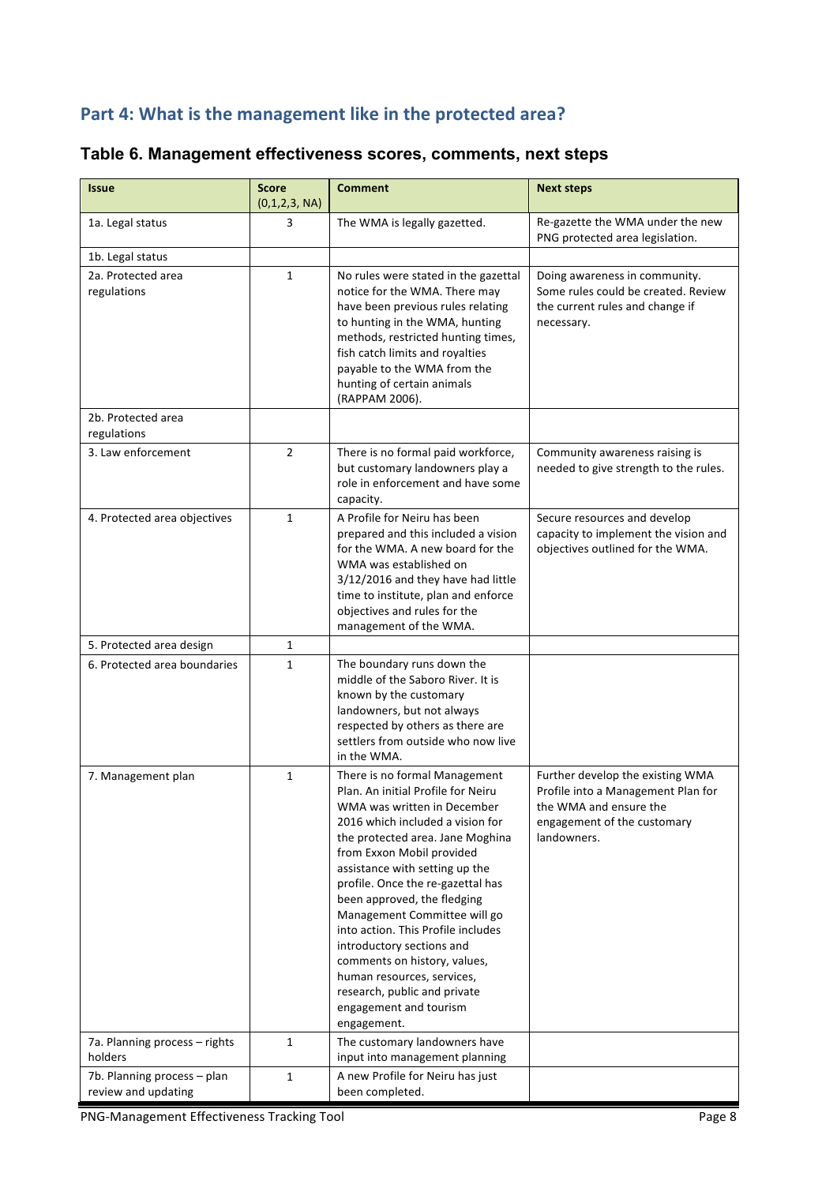# Part 4: What is the management like in the protected area?

| Table 6. Management effectiveness scores, comments, next steps |  |  |  |
|----------------------------------------------------------------|--|--|--|
|----------------------------------------------------------------|--|--|--|

| <b>Issue</b>                                       | <b>Score</b><br>(0,1,2,3, NA) | <b>Comment</b>                                                                                                                                                                                                                                                                                                                                                                                                                                                                                                                                          | <b>Next steps</b>                                                                                                                              |
|----------------------------------------------------|-------------------------------|---------------------------------------------------------------------------------------------------------------------------------------------------------------------------------------------------------------------------------------------------------------------------------------------------------------------------------------------------------------------------------------------------------------------------------------------------------------------------------------------------------------------------------------------------------|------------------------------------------------------------------------------------------------------------------------------------------------|
| 1a. Legal status                                   | 3                             | The WMA is legally gazetted.                                                                                                                                                                                                                                                                                                                                                                                                                                                                                                                            | Re-gazette the WMA under the new<br>PNG protected area legislation.                                                                            |
| 1b. Legal status                                   |                               |                                                                                                                                                                                                                                                                                                                                                                                                                                                                                                                                                         |                                                                                                                                                |
| 2a. Protected area<br>regulations                  | $\mathbf{1}$                  | No rules were stated in the gazettal<br>notice for the WMA. There may<br>have been previous rules relating<br>to hunting in the WMA, hunting<br>methods, restricted hunting times,<br>fish catch limits and royalties<br>payable to the WMA from the<br>hunting of certain animals<br>(RAPPAM 2006).                                                                                                                                                                                                                                                    | Doing awareness in community.<br>Some rules could be created. Review<br>the current rules and change if<br>necessary.                          |
| 2b. Protected area<br>regulations                  |                               |                                                                                                                                                                                                                                                                                                                                                                                                                                                                                                                                                         |                                                                                                                                                |
| 3. Law enforcement                                 | $\overline{2}$                | There is no formal paid workforce,<br>but customary landowners play a<br>role in enforcement and have some<br>capacity.                                                                                                                                                                                                                                                                                                                                                                                                                                 | Community awareness raising is<br>needed to give strength to the rules.                                                                        |
| 4. Protected area objectives                       | $\mathbf{1}$                  | A Profile for Neiru has been<br>prepared and this included a vision<br>for the WMA. A new board for the<br>WMA was established on<br>3/12/2016 and they have had little<br>time to institute, plan and enforce<br>objectives and rules for the<br>management of the WMA.                                                                                                                                                                                                                                                                                | Secure resources and develop<br>capacity to implement the vision and<br>objectives outlined for the WMA.                                       |
| 5. Protected area design                           | 1                             |                                                                                                                                                                                                                                                                                                                                                                                                                                                                                                                                                         |                                                                                                                                                |
| 6. Protected area boundaries                       | 1                             | The boundary runs down the<br>middle of the Saboro River. It is<br>known by the customary<br>landowners, but not always<br>respected by others as there are<br>settlers from outside who now live<br>in the WMA.                                                                                                                                                                                                                                                                                                                                        |                                                                                                                                                |
| 7. Management plan                                 | $\mathbf{1}$                  | There is no formal Management<br>Plan. An initial Profile for Neiru<br>WMA was written in December<br>2016 which included a vision for<br>the protected area. Jane Moghina<br>from Exxon Mobil provided<br>assistance with setting up the<br>profile. Once the re-gazettal has<br>been approved, the fledging<br>Management Committee will go<br>into action. This Profile includes<br>introductory sections and<br>comments on history, values,<br>human resources, services,<br>research, public and private<br>engagement and tourism<br>engagement. | Further develop the existing WMA<br>Profile into a Management Plan for<br>the WMA and ensure the<br>engagement of the customary<br>landowners. |
| 7a. Planning process - rights<br>holders           | $\mathbf{1}$                  | The customary landowners have<br>input into management planning                                                                                                                                                                                                                                                                                                                                                                                                                                                                                         |                                                                                                                                                |
| 7b. Planning process - plan<br>review and updating | 1                             | A new Profile for Neiru has just<br>been completed.                                                                                                                                                                                                                                                                                                                                                                                                                                                                                                     |                                                                                                                                                |

PNG-Management Effectiveness Tracking Tool **Page 8** Page 8

ł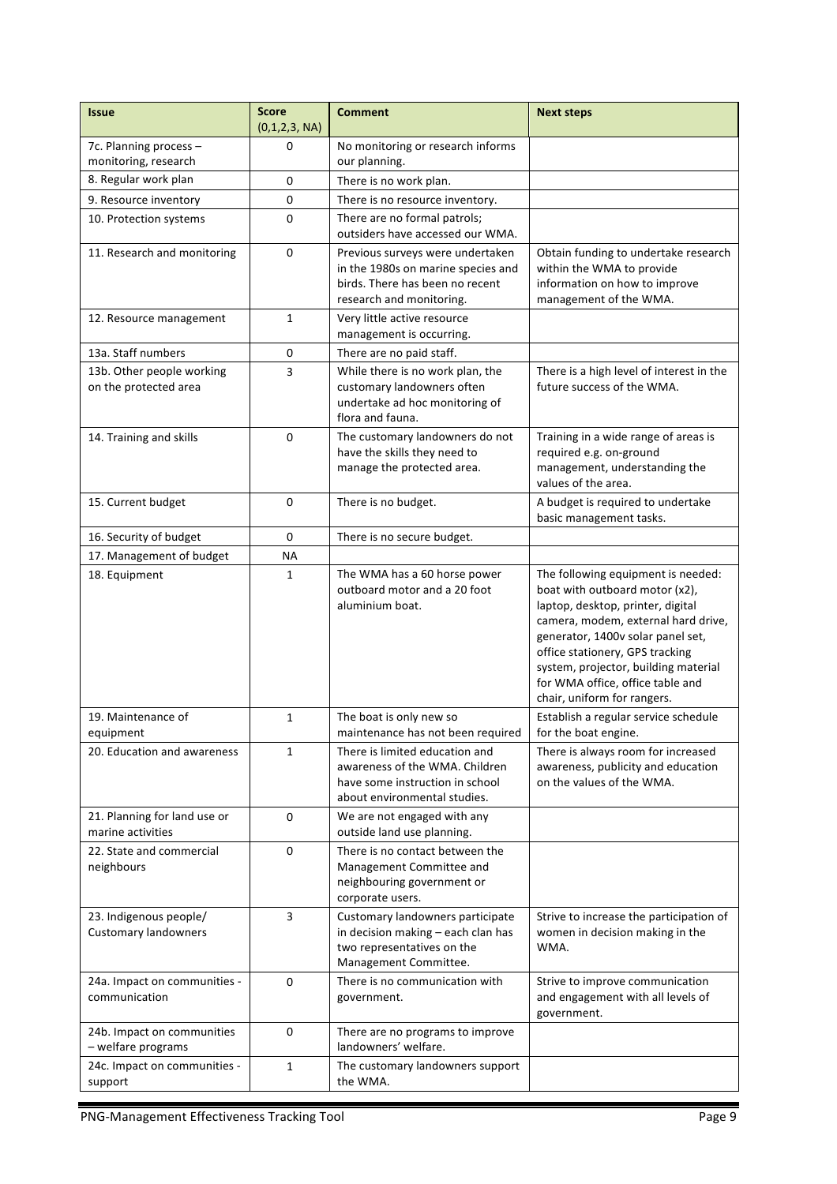| <b>Issue</b>                                          | <b>Score</b><br>(0,1,2,3, NA) | <b>Comment</b>                                                                                                                        | <b>Next steps</b>                                                                                                                                                                                                                                                                                                                   |
|-------------------------------------------------------|-------------------------------|---------------------------------------------------------------------------------------------------------------------------------------|-------------------------------------------------------------------------------------------------------------------------------------------------------------------------------------------------------------------------------------------------------------------------------------------------------------------------------------|
| 7c. Planning process -<br>monitoring, research        | 0                             | No monitoring or research informs<br>our planning.                                                                                    |                                                                                                                                                                                                                                                                                                                                     |
| 8. Regular work plan                                  | 0                             | There is no work plan.                                                                                                                |                                                                                                                                                                                                                                                                                                                                     |
| 9. Resource inventory                                 | 0                             | There is no resource inventory.                                                                                                       |                                                                                                                                                                                                                                                                                                                                     |
| 10. Protection systems                                | 0                             | There are no formal patrols;<br>outsiders have accessed our WMA.                                                                      |                                                                                                                                                                                                                                                                                                                                     |
| 11. Research and monitoring                           | 0                             | Previous surveys were undertaken<br>in the 1980s on marine species and<br>birds. There has been no recent<br>research and monitoring. | Obtain funding to undertake research<br>within the WMA to provide<br>information on how to improve<br>management of the WMA.                                                                                                                                                                                                        |
| 12. Resource management                               | 1                             | Very little active resource<br>management is occurring.                                                                               |                                                                                                                                                                                                                                                                                                                                     |
| 13a. Staff numbers                                    | 0                             | There are no paid staff.                                                                                                              |                                                                                                                                                                                                                                                                                                                                     |
| 13b. Other people working<br>on the protected area    | 3                             | While there is no work plan, the<br>customary landowners often<br>undertake ad hoc monitoring of<br>flora and fauna.                  | There is a high level of interest in the<br>future success of the WMA.                                                                                                                                                                                                                                                              |
| 14. Training and skills                               | $\Omega$                      | The customary landowners do not<br>have the skills they need to<br>manage the protected area.                                         | Training in a wide range of areas is<br>required e.g. on-ground<br>management, understanding the<br>values of the area.                                                                                                                                                                                                             |
| 15. Current budget                                    | 0                             | There is no budget.                                                                                                                   | A budget is required to undertake<br>basic management tasks.                                                                                                                                                                                                                                                                        |
| 16. Security of budget                                | $\mathbf 0$                   | There is no secure budget.                                                                                                            |                                                                                                                                                                                                                                                                                                                                     |
| 17. Management of budget                              | ΝA                            |                                                                                                                                       |                                                                                                                                                                                                                                                                                                                                     |
| 18. Equipment                                         | 1                             | The WMA has a 60 horse power<br>outboard motor and a 20 foot<br>aluminium boat.                                                       | The following equipment is needed:<br>boat with outboard motor (x2),<br>laptop, desktop, printer, digital<br>camera, modem, external hard drive,<br>generator, 1400v solar panel set,<br>office stationery, GPS tracking<br>system, projector, building material<br>for WMA office, office table and<br>chair, uniform for rangers. |
| 19. Maintenance of<br>equipment                       | 1                             | The boat is only new so<br>maintenance has not been required                                                                          | Establish a regular service schedule<br>for the boat engine.                                                                                                                                                                                                                                                                        |
| 20. Education and awareness                           | 1                             | There is limited education and<br>awareness of the WMA. Children<br>have some instruction in school<br>about environmental studies.   | There is always room for increased<br>awareness, publicity and education<br>on the values of the WMA.                                                                                                                                                                                                                               |
| 21. Planning for land use or<br>marine activities     | 0                             | We are not engaged with any<br>outside land use planning.                                                                             |                                                                                                                                                                                                                                                                                                                                     |
| 22. State and commercial<br>neighbours                | $\mathbf 0$                   | There is no contact between the<br>Management Committee and<br>neighbouring government or<br>corporate users.                         |                                                                                                                                                                                                                                                                                                                                     |
| 23. Indigenous people/<br><b>Customary landowners</b> | 3                             | Customary landowners participate<br>in decision making – each clan has<br>two representatives on the<br>Management Committee.         | Strive to increase the participation of<br>women in decision making in the<br>WMA.                                                                                                                                                                                                                                                  |
| 24a. Impact on communities -<br>communication         | 0                             | There is no communication with<br>government.                                                                                         | Strive to improve communication<br>and engagement with all levels of<br>government.                                                                                                                                                                                                                                                 |
| 24b. Impact on communities<br>- welfare programs      | 0                             | There are no programs to improve<br>landowners' welfare.                                                                              |                                                                                                                                                                                                                                                                                                                                     |
| 24c. Impact on communities -<br>support               | 1                             | The customary landowners support<br>the WMA.                                                                                          |                                                                                                                                                                                                                                                                                                                                     |